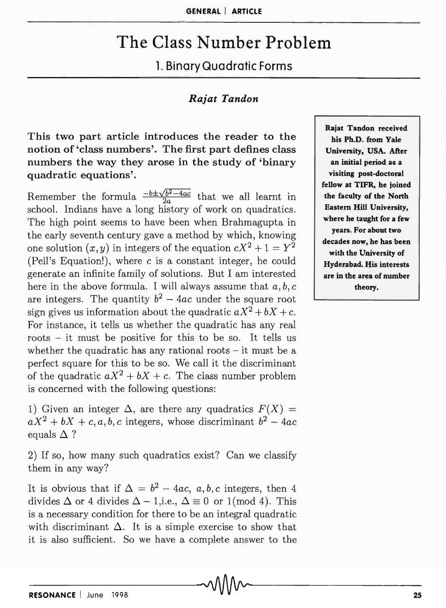## **The Class Number Problem**

## **1. Binary Quadratic Forms**

## *Rajat Tandon*

**This two part article introduces the reader to the notion of 'class numbers'. The first part defines class numbers the way they arose in the study of 'binary quadratic equations'.** 

Remember the formula  $\frac{-b \pm \sqrt{b^2-4ac}}{2a}$  that we all learnt in school. Indians have a long history of work on quadratics. The high point seems to have been when Brahmagupta in the early seventh century gave a method by which, knowing one solution  $(x, y)$  in integers of the equation  $cX^2 + 1 = Y^2$ (Pell's Equation!), where c is a constant integer, he could generate an infinite family of solutions. But I am interested here in the above formula. I will always assume that  $a, b, c$ are integers. The quantity  $b^2 - 4ac$  under the square root sign gives us information about the quadratic  $aX^2 + bX + c$ . For instance, it tells us whether the quadratic has any real roots - it must be positive for this to be so. It tells us whether the quadratic has any rational roots – it must be a perfect square for this to be so. We call it the discriminant of the quadratic  $aX^2 + bX + c$ . The class number problem is concerned with the following questions:

1) Given an integer  $\Delta$ , are there any quadratics  $F(X) =$  $aX^2 + bX + c, a, b, c$  integers, whose discriminant  $b^2 - 4ac$ equals  $\Delta$  ?

2) If so, how many such quadratics exist? Can we classify them in any way?

It is obvious that if  $\Delta = b^2 - 4ac$ , a, b, c integers, then 4 divides  $\Delta$  or 4 divides  $\Delta - 1$ , i.e.,  $\Delta \equiv 0$  or 1(mod 4). This is a necessary condition for there to be an integral quadratic with discriminant  $\Delta$ . It is a simple exercise to show that it is also sufficient. So we have a complete answer to the

**Rajat Tandon received his Ph.D. from Yale University,** USA. After **an initial period as a visiting post-doctoral fellow at TIFR, he joined the faculty of the North Eastern Hill University, where he taught for a few years. For about two decades now, he has been with the University of Hyderabad. His interests are in the area of number theory.**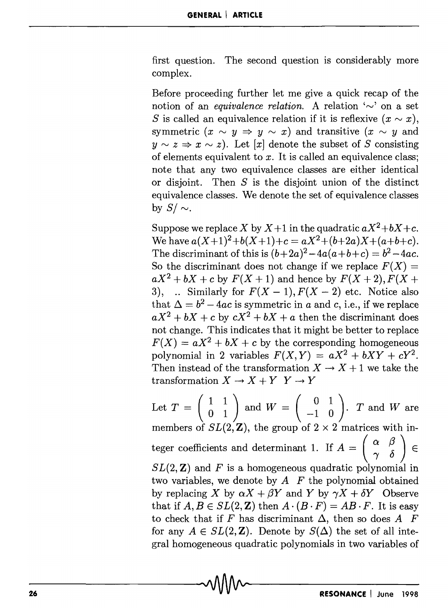first question. The second question is considerably more complex.

Before proceeding further let me give a quick recap of the notion of an *equivalence relation*. A relation  $\sim$  on a set S is called an equivalence relation if it is reflexive  $(x \sim x)$ , symmetric  $(x \sim y \Rightarrow y \sim x)$  and transitive  $(x \sim y \text{ and } y)$  $y \sim z \Rightarrow x \sim z$ ). Let [x] denote the subset of S consisting of elements equivalent to  $x$ . It is called an equivalence class: note that any two equivalence classes are either identical or disjoint. Then  $S$  is the disjoint union of the distinct equivalence classes. We denote the set of equivalence classes by  $S/\sim$ .

Suppose we replace X by  $X + 1$  in the quadratic  $aX^2 + bX + c$ . We have  $a(X+1)^2+b(X+1)+c = aX^2+(b+2a)X+(a+b+c)$ . The discriminant of this is  $(b+2a)^2-4a(a+b+c) = b^2-4ac$ . So the discriminant does not change if we replace  $F(X) =$  $aX^2 + bX + c$  by  $F(X + 1)$  and hence by  $F(X + 2)$ ,  $F(X + 1)$ 3), ... Similarly for  $F(X - 1)$ ,  $F(X - 2)$  etc. Notice also that  $\Delta = b^2 - 4ac$  is symmetric in *a* and *c*, i.e., if we replace  $aX^2 + bX + c$  by  $cX^2 + bX + a$  then the discriminant does not change. This indicates that it might be better to replace  $F(X) = aX^2 + bX + c$  by the corresponding homogeneous polynomial in 2 variables  $F(X, Y) = aX^2 + bXY + cY^2$ . Then instead of the transformation  $X \to X + 1$  we take the transformation  $X \to X + Y \ Y \to Y$ 

Let  $T = \begin{pmatrix} 1 & 1 \\ 0 & 1 \end{pmatrix}$  and  $W = \begin{pmatrix} 0 & 1 \\ -1 & 0 \end{pmatrix}$ . *T* and *W* are members of  $SL(2, \mathbb{Z})$ , the group of  $2 \times 2$  matrices with integer coefficients and determinant 1. If  $A = \begin{pmatrix} \alpha & \beta \\ \gamma & \delta \end{pmatrix}$ *8L(2,* Z) and *F* is a homogeneous quadratic polynomial in two variables, we denote by  $A$   $F$  the polynomial obtained by replacing X by  $\alpha X + \beta Y$  and Y by  $\gamma X + \delta Y$  Observe that if  $A, B \in SL(2, \mathbb{Z})$  then  $A \cdot (B \cdot F) = AB \cdot F$ . It is easy to check that if F has discriminant  $\Delta$ , then so does A F for any  $A \in SL(2, \mathbb{Z})$ . Denote by  $S(\Delta)$  the set of all integral homogeneous quadratic polynomials in two variables of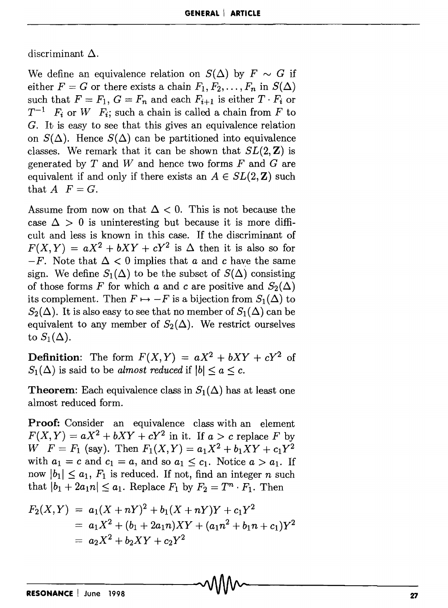discriminant  $\Delta$ .

We define an equivalence relation on  $S(\Delta)$  by  $F \sim G$  if either  $F = G$  or there exists a chain  $F_1, F_2, \ldots, F_n$  in  $S(\Delta)$ such that  $F = F_1$ ,  $G = F_n$  and each  $F_{i+1}$  is either  $T \cdot F_i$  or  $T^{-1}$  *F<sub>i</sub>* or *W F<sub>i</sub>*; such a chain is called a chain from *F* to *G.* It is easy to see that this gives an equivalence relation on  $S(\Delta)$ . Hence  $S(\Delta)$  can be partitioned into equivalence classes. We remark that it can be shown that  $SL(2, \mathbb{Z})$  is generated by *T* and Wand hence two forms *F* and *G* are equivalent if and only if there exists an  $A \in SL(2, \mathbb{Z})$  such that  $A \mid F = G$ .

Assume from now on that  $\Delta < 0$ . This is not because the case  $\Delta > 0$  is uninteresting but because it is more difficult and less is known in this case. If the discriminant of  $F(X, Y) = aX^2 + bXY + cY^2$  is  $\Delta$  then it is also so for  $-F$ . Note that  $\Delta < 0$  implies that *a* and *c* have the same sign. We define  $S_1(\Delta)$  to be the subset of  $S(\Delta)$  consisting of those forms *F* for which *a* and *c* are positive and  $S_2(\Delta)$ its complement. Then  $F \mapsto -F$  is a bijection from  $S_1(\Delta)$  to  $S_2(\Delta)$ . It is also easy to see that no member of  $S_1(\Delta)$  can be equivalent to any member of  $S_2(\Delta)$ . We restrict ourselves to  $S_1(\Delta)$ .

**Definition:** The form  $F(X, Y) = aX^2 + bXY + cY^2$  of  $S_1(\Delta)$  is said to be *almost reduced* if  $|b| \le a \le c$ .

**Theorem:** Each equivalence class in  $S_1(\Delta)$  has at least one almost reduced form.

**Proof:** Consider an equivalence class with an element  $F(X, Y) = aX^2 + bXY + cY^2$  in it. If  $a > c$  replace *F* by  $W \tF = F_1$  (say). Then  $F_1(X, Y) = a_1 X^2 + b_1 XY + c_1 Y^2$ with  $a_1 = c$  and  $c_1 = a$ , and so  $a_1 \leq c_1$ . Notice  $a > a_1$ . If now  $|b_1| \le a_1$ ,  $F_1$  is reduced. If not, find an integer *n* such that  $|b_1 + 2a_1n| \le a_1$ . Replace  $F_1$  by  $F_2 = T^n \cdot F_1$ . Then

$$
F_2(X,Y) = a_1(X+nY)^2 + b_1(X+nY)Y + c_1Y^2
$$
  
=  $a_1X^2 + (b_1 + 2a_1n)XY + (a_1n^2 + b_1n + c_1)Y^2$   
=  $a_2X^2 + b_2XY + c_2Y^2$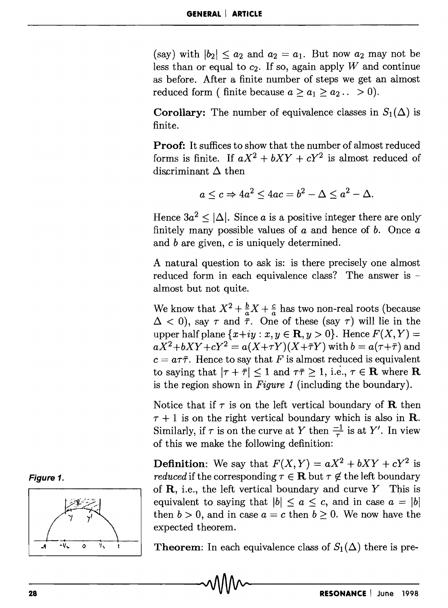(say) with  $|b_2| \le a_2$  and  $a_2 = a_1$ . But now  $a_2$  may not be less than or equal to  $c_2$ . If so, again apply W and continue as before. After a finite number of steps we get an almost reduced form ( finite because  $a \ge a_1 \ge a_2 ... > 0$ ).

**Corollary:** The number of equivalence classes in  $S_1(\Delta)$  is finite.

Proof: It suffices to show that the number of almost reduced forms is finite. If  $aX^2 + bXY + cY^2$  is almost reduced of discriminant  $\Delta$  then

$$
a\leq c\Rightarrow 4a^2\leq 4ac=b^2-\Delta\leq a^2-\Delta.
$$

Hence  $3a^2 < |\Delta|$ . Since *a* is a positive integer there are only finitely many possible values of *a* and hence of b. Once *a*  and *b* are given, c is uniquely determined.

A natural question to ask is: is there precisely one almost reduced form in each equivalence class? The answer is almost but not quite.

We know that  $X^2 + \frac{b}{a}X + \frac{c}{a}$  has two non-real roots (because  $\Delta$  < 0), say  $\tau$  and  $\ddot{\bar{\tau}}$ . One of these (say  $\tau$ ) will lie in the upper half plane  $\{x+iy : x, y \in \mathbf{R}, y > 0\}$ . Hence  $F(X, Y) =$  $aX^2 + bXY + cY^2 = a(X+\tau Y)(X+\bar{\tau}Y)$  with  $b = a(\tau + \bar{\tau})$  and  $c = a\tau\bar{\tau}$ . Hence to say that F is almost reduced is equivalent to saying that  $|\tau + \bar{\tau}| \leq 1$  and  $\tau \bar{\tau} \geq 1$ , i.e.,  $\tau \in \mathbf{R}$  where **R** is the region shown in *Figure* 1 (including the boundary).

Notice that if  $\tau$  is on the left vertical boundary of **R** then  $\tau + 1$  is on the right vertical boundary which is also in **R**. Similarly, if  $\tau$  is on the curve at Y then  $\frac{-1}{\tau}$  is at Y'. In view of this we make the following definition:

**Definition:** We say that  $F(X, Y) = aX^2 + bXY + cY^2$  is *reduced* if the corresponding  $\tau \in \mathbf{R}$  but  $\tau \notin$  the left boundary of  $\bf R$ , i.e., the left vertical boundary and curve Y This is equivalent to saying that  $|b| \le a \le c$ , and in case  $a = |b|$ then  $b > 0$ , and in case  $a = c$  then  $b \ge 0$ . We now have the expected theorem.

Theorem: In each equivalence class of  $S_1(\Delta)$  there is pre-



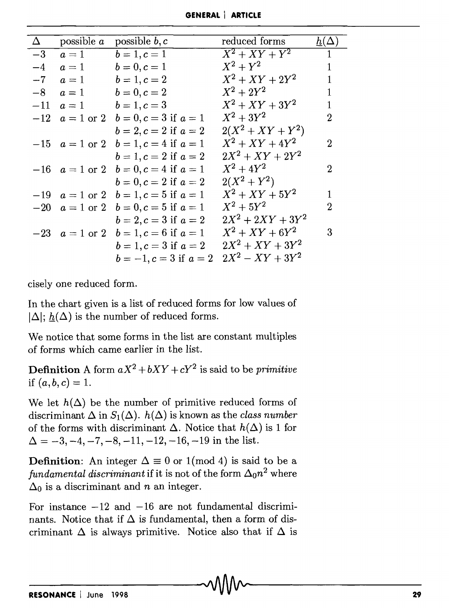| GENERAL   ARTICLE |  |
|-------------------|--|
|-------------------|--|

| $\Delta$ | possible $a$ | possible $b, c$                              | reduced forms       | $h(\Delta)$  |
|----------|--------------|----------------------------------------------|---------------------|--------------|
| $-3$     | $a=1$        | $b = 1, c = 1$                               | $X^2+XY+Y^2$        | $\mathbf{1}$ |
| $-4$     | $a=1$        | $b = 0, c = 1$                               | $X^2+Y^2$           | $\mathbf{1}$ |
| $-7$     | $a=1$        | $b = 1, c = 2$                               | $X^2 + XY + 2Y^2$   | 1            |
| $-8$     | $a=1$        | $b = 0, c = 2$                               | $X^2 + 2Y^2$        | 1            |
| $-11$    | $a=1$        | $b = 1, c = 3$                               | $X^2 + XY + 3Y^2$   |              |
|          |              | $-12$ $a = 1$ or 2 $b = 0, c = 3$ if $a = 1$ | $X^2 + 3Y^2$        | 2            |
|          |              | $b = 2, c = 2$ if $a = 2$                    | $2(X^2 + XY + Y^2)$ |              |
|          |              | $-15$ $a = 1$ or 2 $b = 1, c = 4$ if $a = 1$ | $X^2 + XY + 4Y^2$   | 2            |
|          |              | $b = 1, c = 2$ if $a = 2$                    | $2X^2 + XY + 2Y^2$  |              |
|          |              | $-16$ $a = 1$ or 2 $b = 0, c = 4$ if $a = 1$ | $X^2 + 4Y^2$        | 2            |
|          |              | $b = 0, c = 2$ if $a = 2$                    | $2(X^2+Y^2)$        |              |
|          |              | $-19$ $a = 1$ or 2 $b = 1, c = 5$ if $a = 1$ | $X^2 + XY + 5Y^2$   | 1            |
|          |              | $-20$ $a = 1$ or 2 $b = 0, c = 5$ if $a = 1$ | $X^2 + 5Y^2$        | 2            |
|          |              | $b = 2, c = 3$ if $a = 2$                    | $2X^2 + 2XY + 3Y^2$ |              |
|          |              | $-23$ $a = 1$ or 2 $b = 1, c = 6$ if $a = 1$ | $X^2 + XY + 6Y^2$   | 3            |
|          |              | $b = 1, c = 3$ if $a = 2$                    | $2X^2 + XY + 3Y^2$  |              |
|          |              | $b = -1, c = 3$ if $a = 2$                   | $2X^2 - XY + 3Y^2$  |              |

cisely one reduced form.

In the chart given is a list of reduced forms for low values of  $|\Delta|$ ;  $h(\Delta)$  is the number of reduced forms.

We notice that some forms in the list are constant multiples of forms which came earlier in the list.

**Definition** A form  $aX^2 + bXY + cY^2$  is said to be *primitive* if  $(a, b, c) = 1$ .

We let  $h(\Delta)$  be the number of primitive reduced forms of discriminant  $\Delta$  in  $S_1(\Delta)$ .  $h(\Delta)$  is known as the *class number* of the forms with discriminant  $\Delta$ . Notice that  $h(\Delta)$  is 1 for  $\Delta = -3, -4, -7, -8, -11, -12, -16, -19$  in the list.

**Definition:** An integer  $\Delta \equiv 0$  or 1(mod 4) is said to be a *fundamental discriminant* if it is not of the form  $\Delta_0 n^2$  where  $\Delta_0$  is a discriminant and *n* an integer.

For instance  $-12$  and  $-16$  are not fundamental discriminants. Notice that if  $\Delta$  is fundamental, then a form of discriminant  $\Delta$  is always primitive. Notice also that if  $\Delta$  is